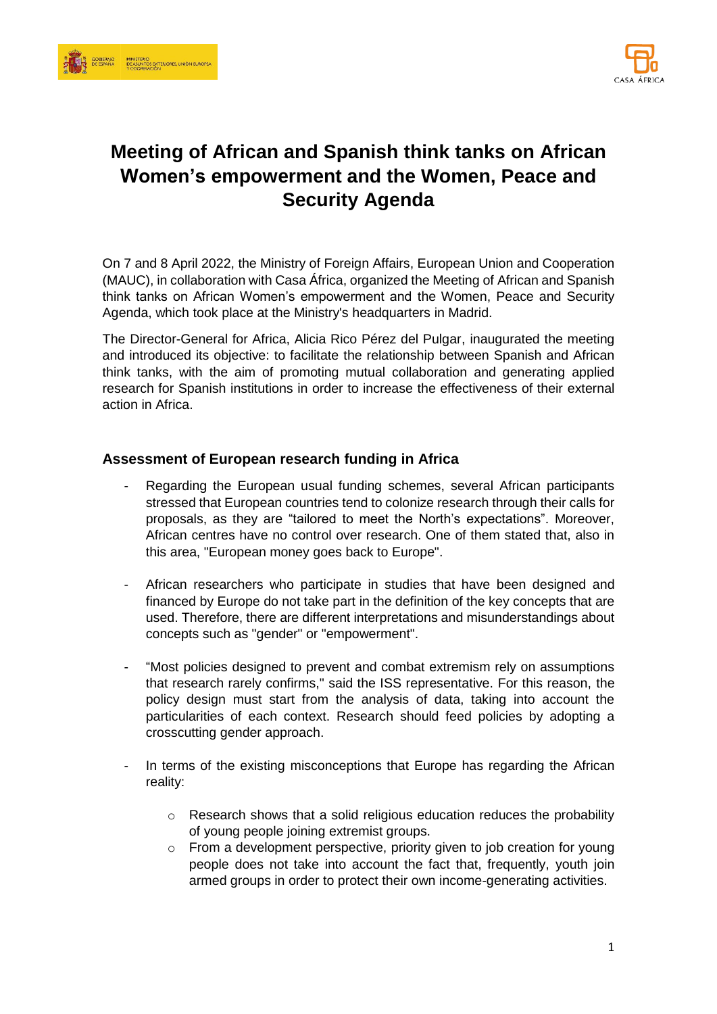



# **Meeting of African and Spanish think tanks on African Women's empowerment and the Women, Peace and Security Agenda**

On 7 and 8 April 2022, the Ministry of Foreign Affairs, European Union and Cooperation (MAUC), in collaboration with Casa África, organized the Meeting of African and Spanish think tanks on African Women's empowerment and the Women, Peace and Security Agenda, which took place at the Ministry's headquarters in Madrid.

The Director-General for Africa, Alicia Rico Pérez del Pulgar, inaugurated the meeting and introduced its objective: to facilitate the relationship between Spanish and African think tanks, with the aim of promoting mutual collaboration and generating applied research for Spanish institutions in order to increase the effectiveness of their external action in Africa.

## **Assessment of European research funding in Africa**

- Regarding the European usual funding schemes, several African participants stressed that European countries tend to colonize research through their calls for proposals, as they are "tailored to meet the North's expectations". Moreover, African centres have no control over research. One of them stated that, also in this area, "European money goes back to Europe".
- African researchers who participate in studies that have been designed and financed by Europe do not take part in the definition of the key concepts that are used. Therefore, there are different interpretations and misunderstandings about concepts such as "gender" or "empowerment".
- "Most policies designed to prevent and combat extremism rely on assumptions that research rarely confirms," said the ISS representative. For this reason, the policy design must start from the analysis of data, taking into account the particularities of each context. Research should feed policies by adopting a crosscutting gender approach.
- In terms of the existing misconceptions that Europe has regarding the African reality:
	- o Research shows that a solid religious education reduces the probability of young people joining extremist groups.
	- o From a development perspective, priority given to job creation for young people does not take into account the fact that, frequently, youth join armed groups in order to protect their own income-generating activities.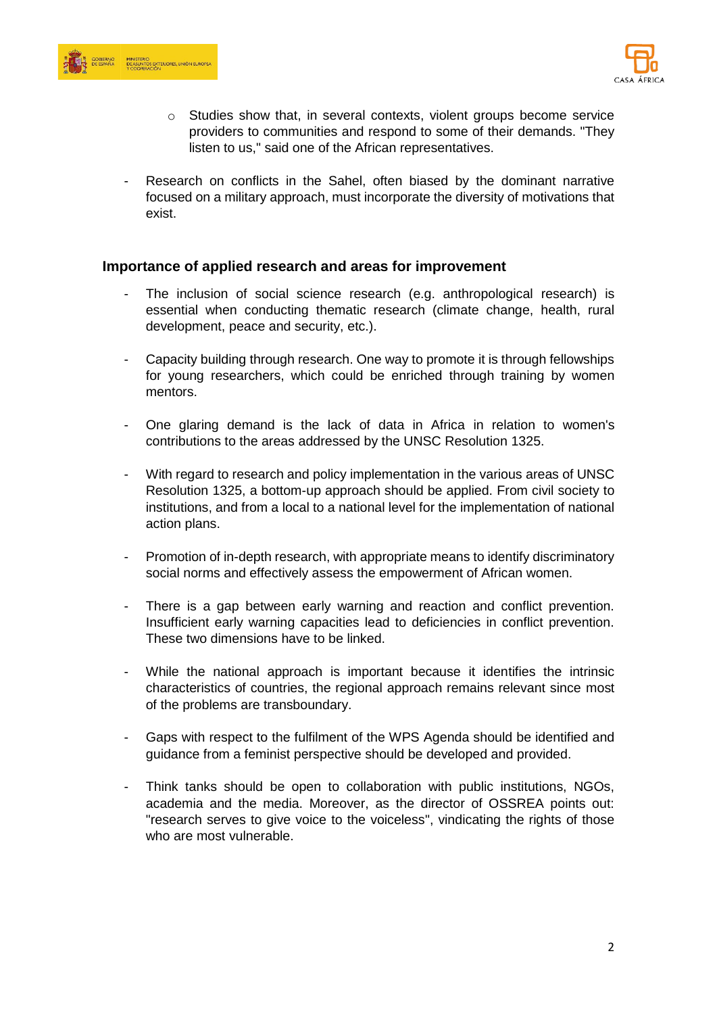



- o Studies show that, in several contexts, violent groups become service providers to communities and respond to some of their demands. "They listen to us," said one of the African representatives.
- Research on conflicts in the Sahel, often biased by the dominant narrative focused on a military approach, must incorporate the diversity of motivations that exist.

#### **Importance of applied research and areas for improvement**

- The inclusion of social science research (e.g. anthropological research) is essential when conducting thematic research (climate change, health, rural development, peace and security, etc.).
- Capacity building through research. One way to promote it is through fellowships for young researchers, which could be enriched through training by women mentors.
- One glaring demand is the lack of data in Africa in relation to women's contributions to the areas addressed by the UNSC Resolution 1325.
- With regard to research and policy implementation in the various areas of UNSC Resolution 1325, a bottom-up approach should be applied. From civil society to institutions, and from a local to a national level for the implementation of national action plans.
- Promotion of in-depth research, with appropriate means to identify discriminatory social norms and effectively assess the empowerment of African women.
- There is a gap between early warning and reaction and conflict prevention. Insufficient early warning capacities lead to deficiencies in conflict prevention. These two dimensions have to be linked.
- While the national approach is important because it identifies the intrinsic characteristics of countries, the regional approach remains relevant since most of the problems are transboundary.
- Gaps with respect to the fulfilment of the WPS Agenda should be identified and guidance from a feminist perspective should be developed and provided.
- Think tanks should be open to collaboration with public institutions, NGOs, academia and the media. Moreover, as the director of OSSREA points out: "research serves to give voice to the voiceless", vindicating the rights of those who are most vulnerable.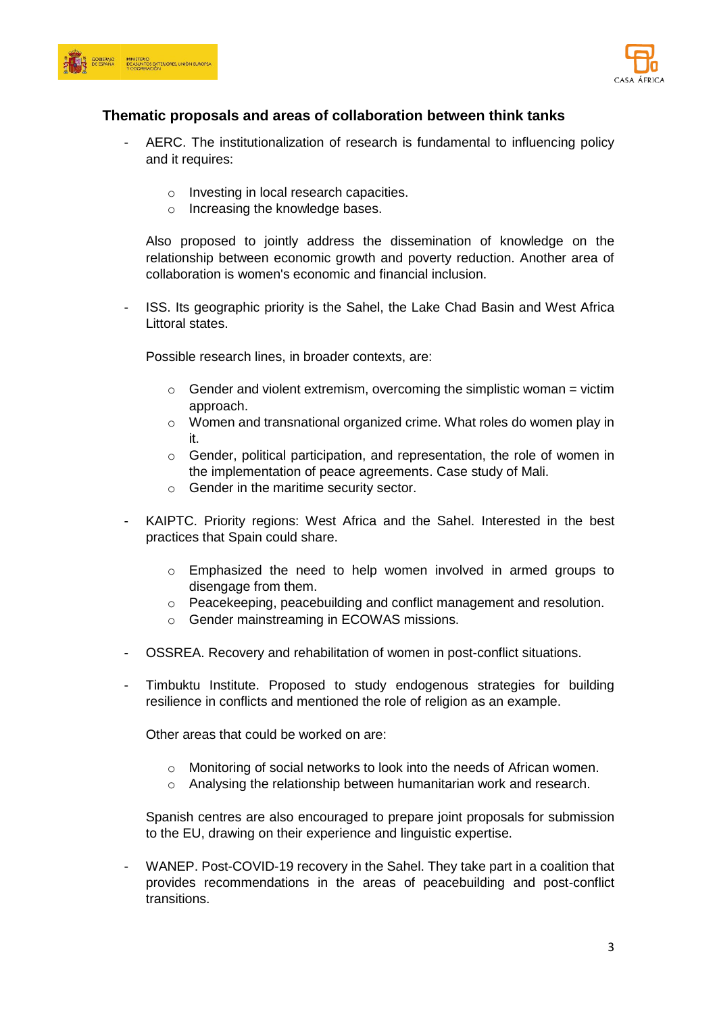



## **Thematic proposals and areas of collaboration between think tanks**

- AERC. The institutionalization of research is fundamental to influencing policy and it requires:
	- o Investing in local research capacities.
	- o Increasing the knowledge bases.

Also proposed to jointly address the dissemination of knowledge on the relationship between economic growth and poverty reduction. Another area of collaboration is women's economic and financial inclusion.

- ISS. Its geographic priority is the Sahel, the Lake Chad Basin and West Africa Littoral states.

Possible research lines, in broader contexts, are:

- $\circ$  Gender and violent extremism, overcoming the simplistic woman = victim approach.
- $\circ$  Women and transnational organized crime. What roles do women play in it.
- o Gender, political participation, and representation, the role of women in the implementation of peace agreements. Case study of Mali.
- o Gender in the maritime security sector.
- KAIPTC. Priority regions: West Africa and the Sahel. Interested in the best practices that Spain could share.
	- o Emphasized the need to help women involved in armed groups to disengage from them.
	- o Peacekeeping, peacebuilding and conflict management and resolution.
	- o Gender mainstreaming in ECOWAS missions.
- OSSREA. Recovery and rehabilitation of women in post-conflict situations.
- Timbuktu Institute. Proposed to study endogenous strategies for building resilience in conflicts and mentioned the role of religion as an example.

Other areas that could be worked on are:

- o Monitoring of social networks to look into the needs of African women.
- o Analysing the relationship between humanitarian work and research.

Spanish centres are also encouraged to prepare joint proposals for submission to the EU, drawing on their experience and linguistic expertise.

- WANEP. Post-COVID-19 recovery in the Sahel. They take part in a coalition that provides recommendations in the areas of peacebuilding and post-conflict transitions.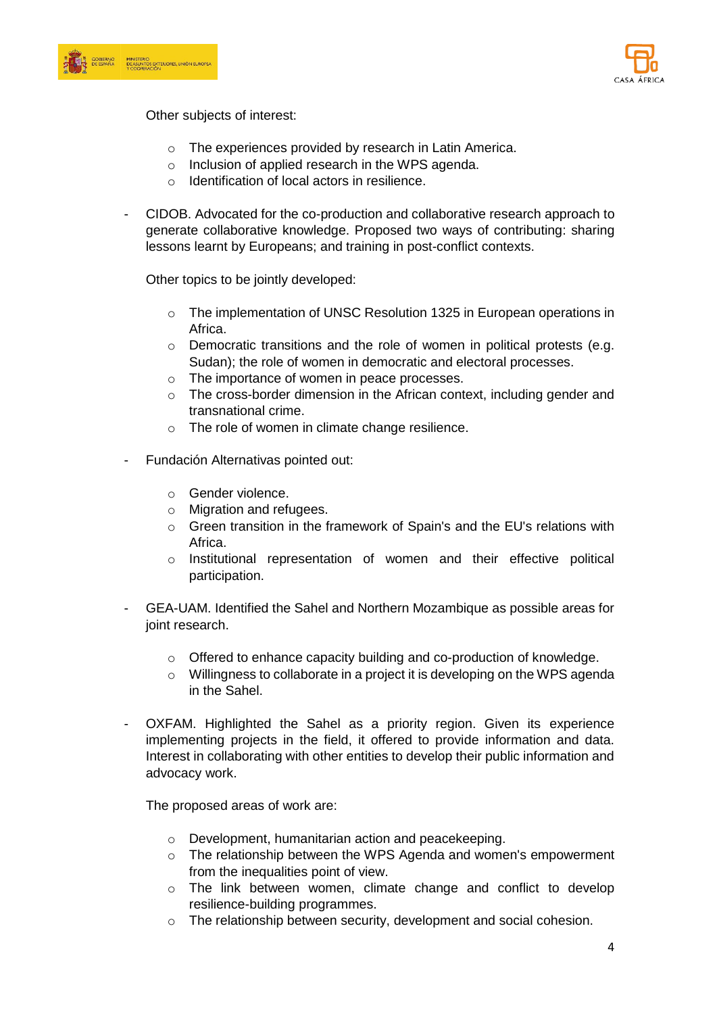



Other subjects of interest:

- o The experiences provided by research in Latin America.
- o Inclusion of applied research in the WPS agenda.
- o Identification of local actors in resilience.
- CIDOB. Advocated for the co-production and collaborative research approach to generate collaborative knowledge. Proposed two ways of contributing: sharing lessons learnt by Europeans; and training in post-conflict contexts.

Other topics to be jointly developed:

- o The implementation of UNSC Resolution 1325 in European operations in Africa.
- o Democratic transitions and the role of women in political protests (e.g. Sudan); the role of women in democratic and electoral processes.
- o The importance of women in peace processes.
- o The cross-border dimension in the African context, including gender and transnational crime.
- o The role of women in climate change resilience.
- Fundación Alternativas pointed out:
	- o Gender violence.
	- o Migration and refugees.
	- $\circ$  Green transition in the framework of Spain's and the EU's relations with Africa.
	- o Institutional representation of women and their effective political participation.
- GEA-UAM. Identified the Sahel and Northern Mozambique as possible areas for joint research.
	- $\circ$  Offered to enhance capacity building and co-production of knowledge.
	- o Willingness to collaborate in a project it is developing on the WPS agenda in the Sahel.
- OXFAM. Highlighted the Sahel as a priority region. Given its experience implementing projects in the field, it offered to provide information and data. Interest in collaborating with other entities to develop their public information and advocacy work.

The proposed areas of work are:

- o Development, humanitarian action and peacekeeping.
- o The relationship between the WPS Agenda and women's empowerment from the inequalities point of view.
- o The link between women, climate change and conflict to develop resilience-building programmes.
- o The relationship between security, development and social cohesion.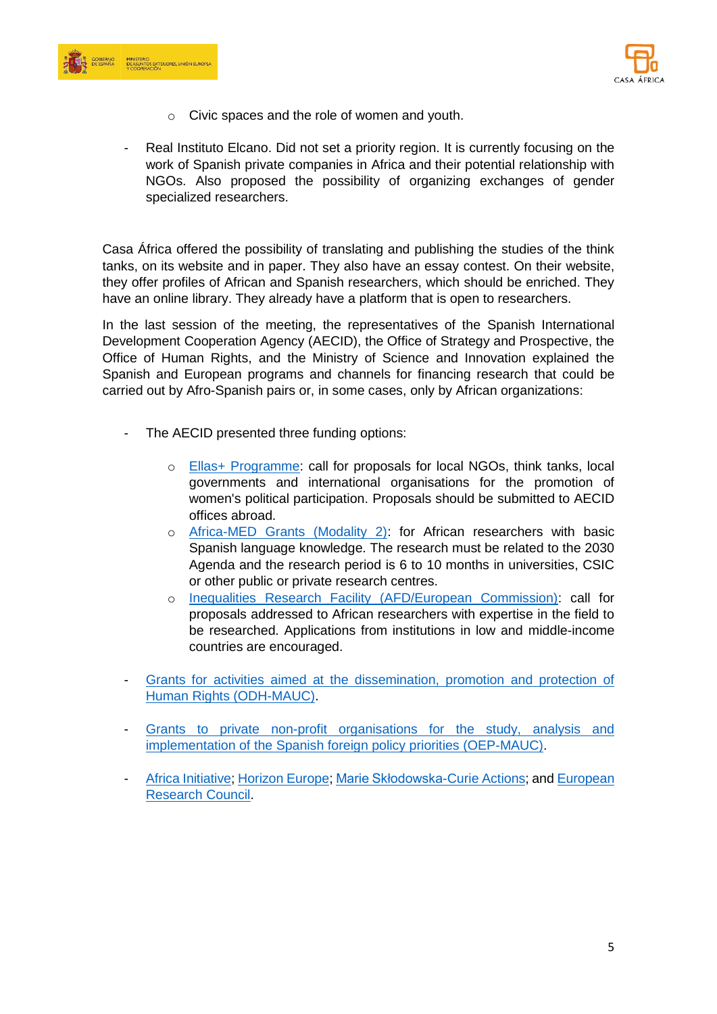



- o Civic spaces and the role of women and youth.
- Real Instituto Elcano. Did not set a priority region. It is currently focusing on the work of Spanish private companies in Africa and their potential relationship with NGOs. Also proposed the possibility of organizing exchanges of gender specialized researchers.

Casa África offered the possibility of translating and publishing the studies of the think tanks, on its website and in paper. They also have an essay contest. On their website, they offer profiles of African and Spanish researchers, which should be enriched. They have an online library. They already have a platform that is open to researchers.

In the last session of the meeting, the representatives of the Spanish International Development Cooperation Agency (AECID), the Office of Strategy and Prospective, the Office of Human Rights, and the Ministry of Science and Innovation explained the Spanish and European programs and channels for financing research that could be carried out by Afro-Spanish pairs or, in some cases, only by African organizations:

- The AECID presented three funding options:
	- o [Ellas+ Programme:](https://www.aecid.es/ES/Paginas/Sala%20de%20Prensa/Noticias/2022/2022_04/Ellas-FontecE-duca.aspx) call for proposals for local NGOs, think tanks, local governments and international organisations for the promotion of women's political participation. Proposals should be submitted to AECID offices abroad.
	- o [Africa-MED Grants \(Modality 2\):](https://www.aecid.es/Centro-Documentacion/Documentos/documentos%20adjuntos/FOLLETO_PROGRAMA_DE_BECAS_AFRICA-MED%20ING_compressed.pdf) for African researchers with basic Spanish language knowledge. The research must be related to the 2030 Agenda and the research period is 6 to 10 months in universities, CSIC or other public or private research centres.
	- o [Inequalities Research Facility \(AFD/European Commission\):](https://www.afd.fr/en/research-facility-inequalities-extension) call for proposals addressed to African researchers with expertise in the field to be researched. Applications from institutions in low and middle-income countries are encouraged.
- Grants for activities aimed at the dissemination, promotion and protection of [Human Rights \(ODH-MAUC\).](https://www.infosubvenciones.es/bdnstrans/GE/es/convocatoria/557160)
- Grants to private non-profit organisations for the study, analysis and [implementation of the Spanish foreign policy priorities \(OEP-MAUC\).](https://www.exteriores.gob.es/es/ServiciosAlCiudadano/TablonDeAnuncios/Documents/20210419-resolucion-convocatoria-subvenciones-SEEG.pdf)
- [Africa Initiative;](https://ec.europa.eu/info/funding-tenders/opportunities/portal/screen/opportunities/topic-search;callCode=null;freeTextSearchKeyword=;matchWholeText=true;typeCodes=0,1,2,8;statusCodes=31094502,31094501,31094503;programmePeriod=null;programCcm2Id=43108390;programDivisionCode=null;focusAreaCode=null;destination=null;mission=null;geographicalZonesCode=null;programmeDivisionProspect=null;startDateLte=null;startDateGte=null;crossCuttingPriorityCode=Africa;cpvCode=null;performanceOfDelivery=null;sortQuery=sortStatus;orderBy=asc;onlyTenders=false;topicListKey=topicSearchTablePageState) [Horizon Europe;](https://ec.europa.eu/info/research-and-innovation/funding/funding-opportunities/funding-programmes-and-open-calls/horizon-europe_en) [Marie Skłodowska-Curie Actions;](https://marie-sklodowska-curie-actions.ec.europa.eu/) and European [Research Council.](https://erc.europa.eu/funding/non-european-researchers)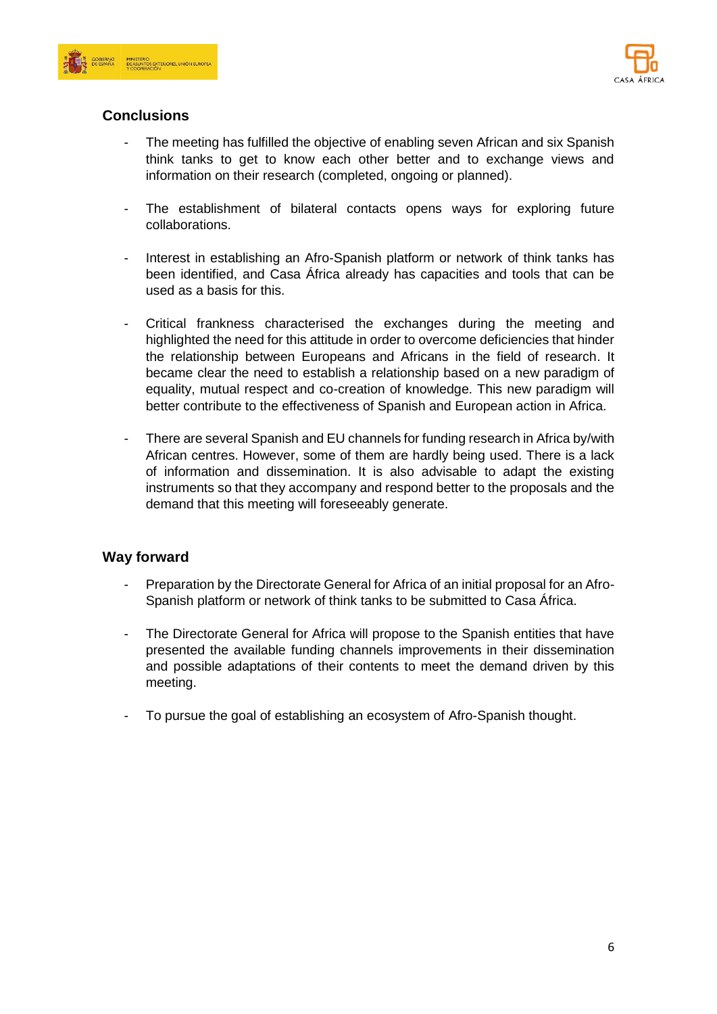



## **Conclusions**

- The meeting has fulfilled the objective of enabling seven African and six Spanish think tanks to get to know each other better and to exchange views and information on their research (completed, ongoing or planned).
- The establishment of bilateral contacts opens ways for exploring future collaborations.
- Interest in establishing an Afro-Spanish platform or network of think tanks has been identified, and Casa África already has capacities and tools that can be used as a basis for this.
- Critical frankness characterised the exchanges during the meeting and highlighted the need for this attitude in order to overcome deficiencies that hinder the relationship between Europeans and Africans in the field of research. It became clear the need to establish a relationship based on a new paradigm of equality, mutual respect and co-creation of knowledge. This new paradigm will better contribute to the effectiveness of Spanish and European action in Africa.
- There are several Spanish and EU channels for funding research in Africa by/with African centres. However, some of them are hardly being used. There is a lack of information and dissemination. It is also advisable to adapt the existing instruments so that they accompany and respond better to the proposals and the demand that this meeting will foreseeably generate.

## **Way forward**

- Preparation by the Directorate General for Africa of an initial proposal for an Afro-Spanish platform or network of think tanks to be submitted to Casa África.
- The Directorate General for Africa will propose to the Spanish entities that have presented the available funding channels improvements in their dissemination and possible adaptations of their contents to meet the demand driven by this meeting.
- To pursue the goal of establishing an ecosystem of Afro-Spanish thought.